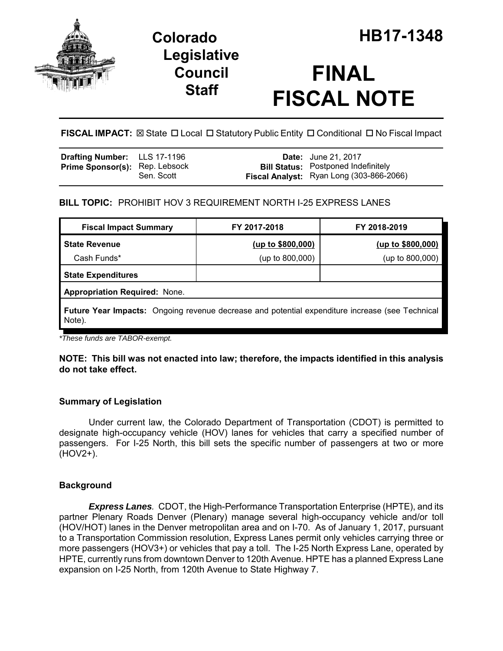

# **Legislative Council Staff**

# **FINAL FISCAL NOTE**

FISCAL IMPACT:  $\boxtimes$  State  $\Box$  Local  $\Box$  Statutory Public Entity  $\Box$  Conditional  $\Box$  No Fiscal Impact

| <b>Drafting Number:</b> LLS 17-1196   |            | <b>Date:</b> June 21, 2017                                                             |
|---------------------------------------|------------|----------------------------------------------------------------------------------------|
| <b>Prime Sponsor(s): Rep. Lebsock</b> | Sen. Scott | <b>Bill Status:</b> Postponed Indefinitely<br>Fiscal Analyst: Ryan Long (303-866-2066) |

## **BILL TOPIC:** PROHIBIT HOV 3 REQUIREMENT NORTH I-25 EXPRESS LANES

| <b>Fiscal Impact Summary</b>                                                                              | FY 2017-2018      | FY 2018-2019      |  |  |
|-----------------------------------------------------------------------------------------------------------|-------------------|-------------------|--|--|
| <b>State Revenue</b>                                                                                      | (up to \$800,000) | (up to \$800,000) |  |  |
| Cash Funds*                                                                                               | (up to 800,000)   | (up to 800,000)   |  |  |
| <b>State Expenditures</b>                                                                                 |                   |                   |  |  |
| <b>Appropriation Required: None.</b>                                                                      |                   |                   |  |  |
| Future Year Impacts: Ongoing revenue decrease and potential expenditure increase (see Technical<br>Note). |                   |                   |  |  |

*\*These funds are TABOR-exempt.*

**NOTE: This bill was not enacted into law; therefore, the impacts identified in this analysis do not take effect.** 

## **Summary of Legislation**

Under current law, the Colorado Department of Transportation (CDOT) is permitted to designate high-occupancy vehicle (HOV) lanes for vehicles that carry a specified number of passengers. For I-25 North, this bill sets the specific number of passengers at two or more (HOV2+).

## **Background**

*Express Lanes.* CDOT, the High-Performance Transportation Enterprise (HPTE), and its partner Plenary Roads Denver (Plenary) manage several high-occupancy vehicle and/or toll (HOV/HOT) lanes in the Denver metropolitan area and on I-70. As of January 1, 2017, pursuant to a Transportation Commission resolution, Express Lanes permit only vehicles carrying three or more passengers (HOV3+) or vehicles that pay a toll. The I-25 North Express Lane, operated by HPTE, currently runs from downtown Denver to 120th Avenue. HPTE has a planned Express Lane expansion on I-25 North, from 120th Avenue to State Highway 7.